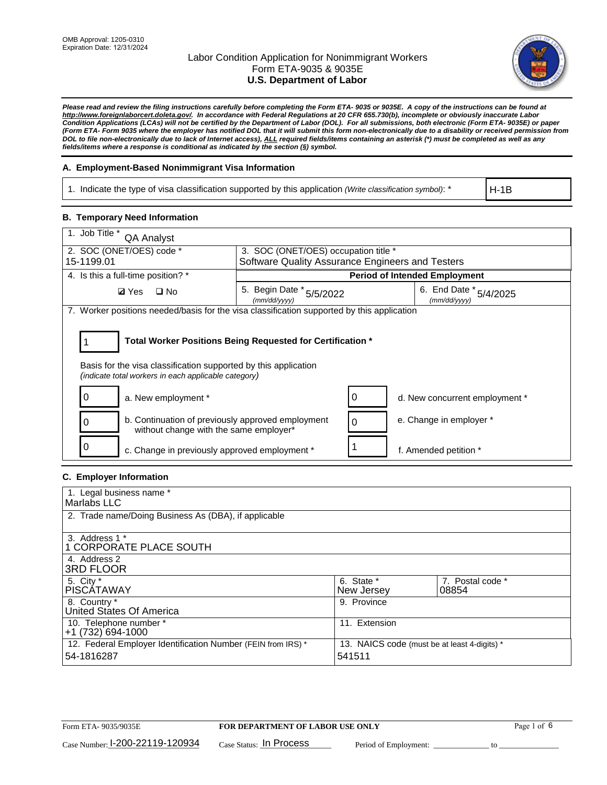

*Please read and review the filing instructions carefully before completing the Form ETA- 9035 or 9035E. A copy of the instructions can be found at http://www.foreignlaborcert.doleta.gov/. In accordance with Federal Regulations at 20 CFR 655.730(b), incomplete or obviously inaccurate Labor Condition Applications (LCAs) will not be certified by the Department of Labor (DOL). For all submissions, both electronic (Form ETA- 9035E) or paper (Form ETA- Form 9035 where the employer has notified DOL that it will submit this form non-electronically due to a disability or received permission from DOL to file non-electronically due to lack of Internet access), ALL required fields/items containing an asterisk (\*) must be completed as well as any fields/items where a response is conditional as indicated by the section (§) symbol.* 

#### **A. Employment-Based Nonimmigrant Visa Information**

1. Indicate the type of visa classification supported by this application *(Write classification symbol)*: \*

H-1B

#### **B. Temporary Need Information**

| 1. Job Title *<br>QA Analyst                                                                                                                                                          |                                                                                    |                                |  |  |
|---------------------------------------------------------------------------------------------------------------------------------------------------------------------------------------|------------------------------------------------------------------------------------|--------------------------------|--|--|
| 2. SOC (ONET/OES) code *                                                                                                                                                              | 3. SOC (ONET/OES) occupation title *                                               |                                |  |  |
| 15-1199.01                                                                                                                                                                            | Software Quality Assurance Engineers and Testers                                   |                                |  |  |
| 4. Is this a full-time position? *                                                                                                                                                    | <b>Period of Intended Employment</b>                                               |                                |  |  |
| <b>Ø</b> Yes<br>$\square$ No                                                                                                                                                          | 6. End Date * 5/4/2025<br>5. Begin Date * 5/5/2022<br>(mm/dd/yyyy)<br>(mm/dd/yyyy) |                                |  |  |
| 7. Worker positions needed/basis for the visa classification supported by this application                                                                                            |                                                                                    |                                |  |  |
| Total Worker Positions Being Requested for Certification *<br>Basis for the visa classification supported by this application<br>(indicate total workers in each applicable category) |                                                                                    |                                |  |  |
| O<br>a. New employment *                                                                                                                                                              | 0                                                                                  | d. New concurrent employment * |  |  |
| b. Continuation of previously approved employment<br>0<br>without change with the same employer*                                                                                      | $\Omega$                                                                           | e. Change in employer *        |  |  |
| c. Change in previously approved employment *                                                                                                                                         |                                                                                    | f. Amended petition *          |  |  |

## **C. Employer Information**

| 1. Legal business name *                                                                                                             |                          |                           |  |
|--------------------------------------------------------------------------------------------------------------------------------------|--------------------------|---------------------------|--|
| Marlabs LLC                                                                                                                          |                          |                           |  |
| 2. Trade name/Doing Business As (DBA), if applicable                                                                                 |                          |                           |  |
| 3. Address 1 *<br>1 CORPORATE PLACE SOUTH<br>4. Address 2                                                                            |                          |                           |  |
| <b>3RD FLOOR</b>                                                                                                                     |                          |                           |  |
| 5. City *<br><b>PISCÁTAWAY</b>                                                                                                       | 6. State *<br>New Jersey | 7. Postal code *<br>08854 |  |
| 8. Country *<br>United States Of America                                                                                             | 9. Province              |                           |  |
| 10. Telephone number *<br>$+1(732)694-1000$                                                                                          | 11. Extension            |                           |  |
| 12. Federal Employer Identification Number (FEIN from IRS) *<br>13. NAICS code (must be at least 4-digits) *<br>54-1816287<br>541511 |                          |                           |  |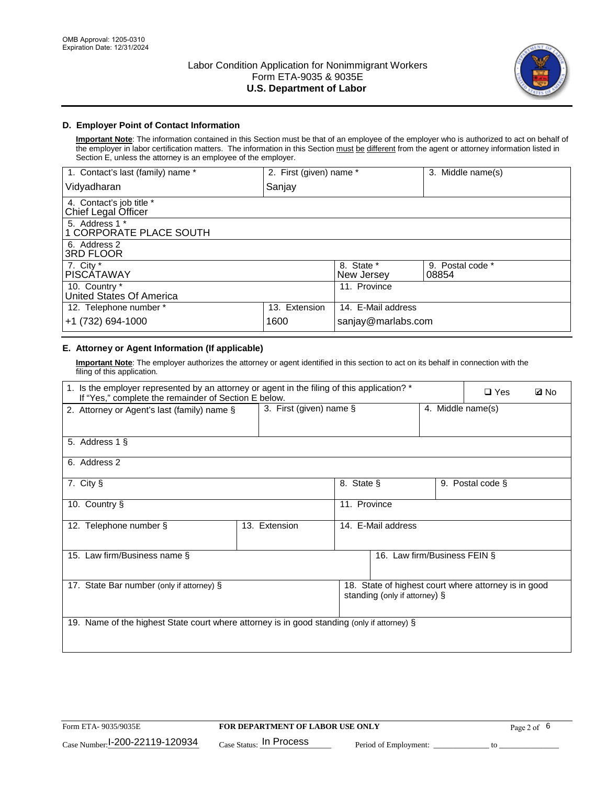

## **D. Employer Point of Contact Information**

**Important Note**: The information contained in this Section must be that of an employee of the employer who is authorized to act on behalf of the employer in labor certification matters. The information in this Section must be different from the agent or attorney information listed in Section E, unless the attorney is an employee of the employer.

| 1. Contact's last (family) name *               | 2. First (given) name * |                          | 3. Middle name(s)         |
|-------------------------------------------------|-------------------------|--------------------------|---------------------------|
| Vidyadharan                                     | Sanjay                  |                          |                           |
| 4. Contact's job title *<br>Chief Legal Officer |                         |                          |                           |
| 5. Address 1 *<br>1 CORPORATE PLACE SOUTH       |                         |                          |                           |
| 6. Address 2<br><b>3RD FLOOR</b>                |                         |                          |                           |
| 7. City *<br><b>PISCÁTAWAY</b>                  |                         | 8. State *<br>New Jersey | 9. Postal code *<br>08854 |
| 10. Country *<br>United States Of America       |                         | 11. Province             |                           |
| 12. Telephone number *                          | 13. Extension           | 14. E-Mail address       |                           |
| +1 (732) 694-1000                               | 1600                    | sanjay@marlabs.com       |                           |

## **E. Attorney or Agent Information (If applicable)**

**Important Note**: The employer authorizes the attorney or agent identified in this section to act on its behalf in connection with the filing of this application.

| 1. Is the employer represented by an attorney or agent in the filing of this application? *<br>If "Yes," complete the remainder of Section E below. |                         |                    |                               | $\Box$ Yes        | <b>ØNo</b>                                           |  |
|-----------------------------------------------------------------------------------------------------------------------------------------------------|-------------------------|--------------------|-------------------------------|-------------------|------------------------------------------------------|--|
| 2. Attorney or Agent's last (family) name §                                                                                                         | 3. First (given) name § |                    |                               | 4. Middle name(s) |                                                      |  |
| 5. Address 1 §                                                                                                                                      |                         |                    |                               |                   |                                                      |  |
| 6. Address 2                                                                                                                                        |                         |                    |                               |                   |                                                      |  |
| 7. City §                                                                                                                                           |                         | 8. State §         |                               |                   | 9. Postal code §                                     |  |
| 10. Country §                                                                                                                                       |                         | 11. Province       |                               |                   |                                                      |  |
| 12. Telephone number §                                                                                                                              | 13. Extension           | 14. E-Mail address |                               |                   |                                                      |  |
| 15. Law firm/Business name §                                                                                                                        |                         |                    | 16. Law firm/Business FEIN §  |                   |                                                      |  |
| 17. State Bar number (only if attorney) §                                                                                                           |                         |                    | standing (only if attorney) § |                   | 18. State of highest court where attorney is in good |  |
| 19. Name of the highest State court where attorney is in good standing (only if attorney) §                                                         |                         |                    |                               |                   |                                                      |  |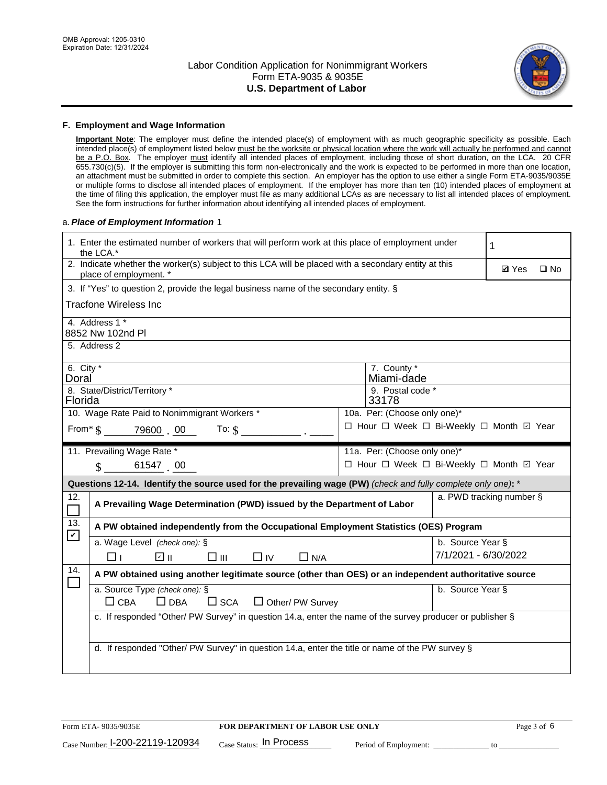

#### **F. Employment and Wage Information**

**Important Note**: The employer must define the intended place(s) of employment with as much geographic specificity as possible. Each intended place(s) of employment listed below must be the worksite or physical location where the work will actually be performed and cannot be a P.O. Box. The employer must identify all intended places of employment, including those of short duration, on the LCA. 20 CFR 655.730(c)(5). If the employer is submitting this form non-electronically and the work is expected to be performed in more than one location, an attachment must be submitted in order to complete this section. An employer has the option to use either a single Form ETA-9035/9035E or multiple forms to disclose all intended places of employment. If the employer has more than ten (10) intended places of employment at the time of filing this application, the employer must file as many additional LCAs as are necessary to list all intended places of employment. See the form instructions for further information about identifying all intended places of employment.

#### a.*Place of Employment Information* 1

|                                                                              | 1. Enter the estimated number of workers that will perform work at this place of employment under<br>the LCA.*                 |  |                                               |                      |              |              |
|------------------------------------------------------------------------------|--------------------------------------------------------------------------------------------------------------------------------|--|-----------------------------------------------|----------------------|--------------|--------------|
|                                                                              | 2. Indicate whether the worker(s) subject to this LCA will be placed with a secondary entity at this<br>place of employment. * |  |                                               |                      | <b>Ø</b> Yes | $\square$ No |
|                                                                              | 3. If "Yes" to question 2, provide the legal business name of the secondary entity. §                                          |  |                                               |                      |              |              |
|                                                                              | <b>Tracfone Wireless Inc</b>                                                                                                   |  |                                               |                      |              |              |
|                                                                              | 4. Address 1 *<br>8852 Nw 102nd Pl                                                                                             |  |                                               |                      |              |              |
|                                                                              | 5. Address 2                                                                                                                   |  |                                               |                      |              |              |
| 6. $City *$<br>Doral                                                         | 8. State/District/Territory *                                                                                                  |  | 7. County *<br>Miami-dade<br>9. Postal code * |                      |              |              |
| Florida                                                                      |                                                                                                                                |  | 33178                                         |                      |              |              |
| 10. Wage Rate Paid to Nonimmigrant Workers *<br>10a. Per: (Choose only one)* |                                                                                                                                |  |                                               |                      |              |              |
|                                                                              | From $\frac{1}{3}$ 79600 00<br>To: $$$                                                                                         |  | □ Hour □ Week □ Bi-Weekly □ Month ☑ Year      |                      |              |              |
|                                                                              | 11. Prevailing Wage Rate *                                                                                                     |  | 11a. Per: (Choose only one)*                  |                      |              |              |
|                                                                              | 61547 00<br>$\mathcal{S}$                                                                                                      |  | □ Hour □ Week □ Bi-Weekly □ Month ☑ Year      |                      |              |              |
|                                                                              | Questions 12-14. Identify the source used for the prevailing wage (PW) (check and fully complete only one): *                  |  |                                               |                      |              |              |
| 12.<br>$\Box$                                                                | a. PWD tracking number §<br>A Prevailing Wage Determination (PWD) issued by the Department of Labor                            |  |                                               |                      |              |              |
| 13.<br>$\blacktriangledown$                                                  | A PW obtained independently from the Occupational Employment Statistics (OES) Program                                          |  |                                               |                      |              |              |
|                                                                              | a. Wage Level (check one): §                                                                                                   |  |                                               | b. Source Year §     |              |              |
|                                                                              | ☑ ⊪<br>$\square$ $\square$<br>$\Box$ IV<br>$\Box$ N/A<br>□⊥                                                                    |  |                                               | 7/1/2021 - 6/30/2022 |              |              |
| 14.                                                                          | A PW obtained using another legitimate source (other than OES) or an independent authoritative source                          |  |                                               |                      |              |              |
|                                                                              | a. Source Type (check one): §<br>b. Source Year §<br>$\Box$ CBA<br>$\Box$ DBA<br>$\square$ SCA<br>$\Box$ Other/ PW Survey      |  |                                               |                      |              |              |
|                                                                              | c. If responded "Other/ PW Survey" in question 14.a, enter the name of the survey producer or publisher §                      |  |                                               |                      |              |              |
|                                                                              | d. If responded "Other/ PW Survey" in question 14.a, enter the title or name of the PW survey §                                |  |                                               |                      |              |              |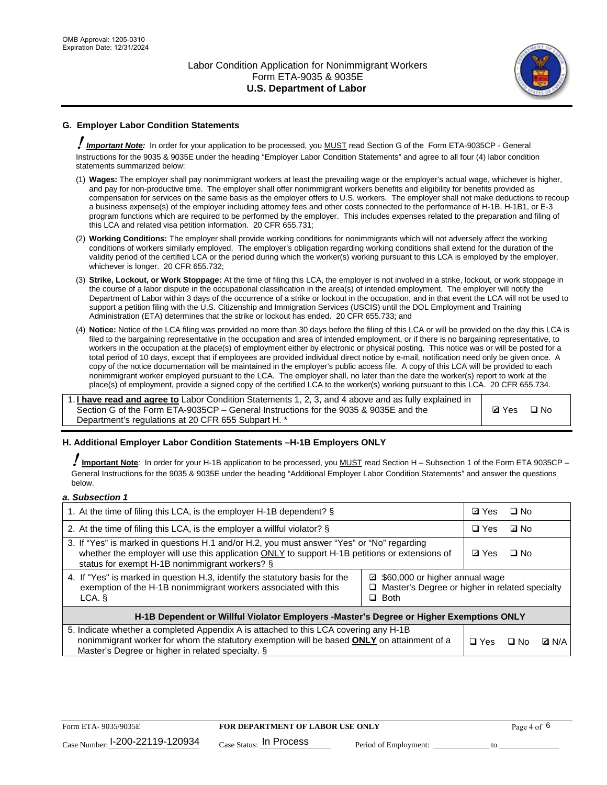

## **G. Employer Labor Condition Statements**

! *Important Note:* In order for your application to be processed, you MUST read Section G of the Form ETA-9035CP - General Instructions for the 9035 & 9035E under the heading "Employer Labor Condition Statements" and agree to all four (4) labor condition statements summarized below:

- (1) **Wages:** The employer shall pay nonimmigrant workers at least the prevailing wage or the employer's actual wage, whichever is higher, and pay for non-productive time. The employer shall offer nonimmigrant workers benefits and eligibility for benefits provided as compensation for services on the same basis as the employer offers to U.S. workers. The employer shall not make deductions to recoup a business expense(s) of the employer including attorney fees and other costs connected to the performance of H-1B, H-1B1, or E-3 program functions which are required to be performed by the employer. This includes expenses related to the preparation and filing of this LCA and related visa petition information. 20 CFR 655.731;
- (2) **Working Conditions:** The employer shall provide working conditions for nonimmigrants which will not adversely affect the working conditions of workers similarly employed. The employer's obligation regarding working conditions shall extend for the duration of the validity period of the certified LCA or the period during which the worker(s) working pursuant to this LCA is employed by the employer, whichever is longer. 20 CFR 655.732;
- (3) **Strike, Lockout, or Work Stoppage:** At the time of filing this LCA, the employer is not involved in a strike, lockout, or work stoppage in the course of a labor dispute in the occupational classification in the area(s) of intended employment. The employer will notify the Department of Labor within 3 days of the occurrence of a strike or lockout in the occupation, and in that event the LCA will not be used to support a petition filing with the U.S. Citizenship and Immigration Services (USCIS) until the DOL Employment and Training Administration (ETA) determines that the strike or lockout has ended. 20 CFR 655.733; and
- (4) **Notice:** Notice of the LCA filing was provided no more than 30 days before the filing of this LCA or will be provided on the day this LCA is filed to the bargaining representative in the occupation and area of intended employment, or if there is no bargaining representative, to workers in the occupation at the place(s) of employment either by electronic or physical posting. This notice was or will be posted for a total period of 10 days, except that if employees are provided individual direct notice by e-mail, notification need only be given once. A copy of the notice documentation will be maintained in the employer's public access file. A copy of this LCA will be provided to each nonimmigrant worker employed pursuant to the LCA. The employer shall, no later than the date the worker(s) report to work at the place(s) of employment, provide a signed copy of the certified LCA to the worker(s) working pursuant to this LCA. 20 CFR 655.734.

1. **I have read and agree to** Labor Condition Statements 1, 2, 3, and 4 above and as fully explained in Section G of the Form ETA-9035CP – General Instructions for the 9035 & 9035E and the Department's regulations at 20 CFR 655 Subpart H. \*

**Ø**Yes ロNo

#### **H. Additional Employer Labor Condition Statements –H-1B Employers ONLY**

!**Important Note***:* In order for your H-1B application to be processed, you MUST read Section H – Subsection 1 of the Form ETA 9035CP – General Instructions for the 9035 & 9035E under the heading "Additional Employer Labor Condition Statements" and answer the questions below.

#### *a. Subsection 1*

| 1. At the time of filing this LCA, is the employer H-1B dependent? §                                                                                                                                                                                          |  |            | $\square$ No |              |
|---------------------------------------------------------------------------------------------------------------------------------------------------------------------------------------------------------------------------------------------------------------|--|------------|--------------|--------------|
| 2. At the time of filing this LCA, is the employer a willful violator? $\S$                                                                                                                                                                                   |  | $\Box$ Yes | ⊡ No         |              |
| 3. If "Yes" is marked in questions H.1 and/or H.2, you must answer "Yes" or "No" regarding<br>whether the employer will use this application ONLY to support H-1B petitions or extensions of<br>status for exempt H-1B nonimmigrant workers? §                |  |            | $\Box$ No    |              |
| 4. If "Yes" is marked in question H.3, identify the statutory basis for the<br>■ \$60,000 or higher annual wage<br>exemption of the H-1B nonimmigrant workers associated with this<br>□ Master's Degree or higher in related specialty<br>$\Box$ Both<br>LCA. |  |            |              |              |
| H-1B Dependent or Willful Violator Employers -Master's Degree or Higher Exemptions ONLY                                                                                                                                                                       |  |            |              |              |
| 5. Indicate whether a completed Appendix A is attached to this LCA covering any H-1B<br>nonimmigrant worker for whom the statutory exemption will be based <b>ONLY</b> on attainment of a<br>Master's Degree or higher in related specialty. §                |  |            | ⊡ No         | <b>Q</b> N/A |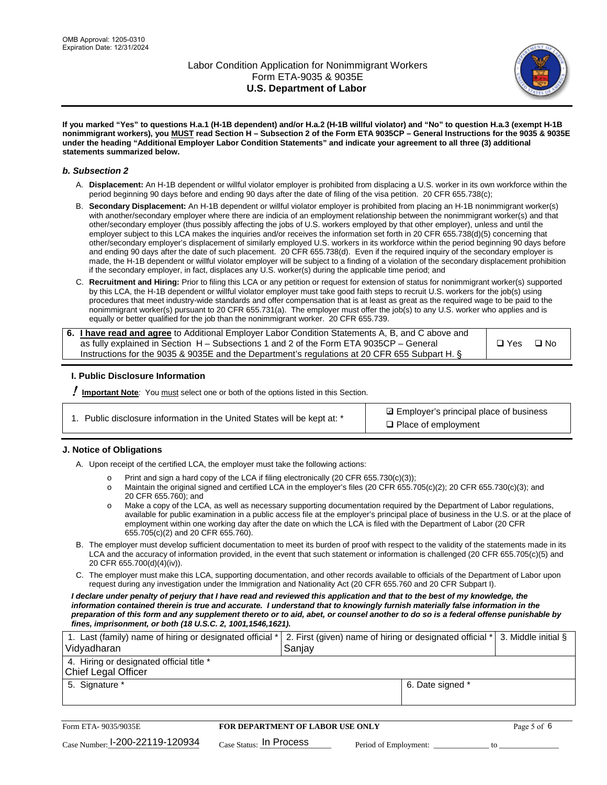

**If you marked "Yes" to questions H.a.1 (H-1B dependent) and/or H.a.2 (H-1B willful violator) and "No" to question H.a.3 (exempt H-1B nonimmigrant workers), you MUST read Section H – Subsection 2 of the Form ETA 9035CP – General Instructions for the 9035 & 9035E under the heading "Additional Employer Labor Condition Statements" and indicate your agreement to all three (3) additional statements summarized below.**

#### *b. Subsection 2*

- A. **Displacement:** An H-1B dependent or willful violator employer is prohibited from displacing a U.S. worker in its own workforce within the period beginning 90 days before and ending 90 days after the date of filing of the visa petition. 20 CFR 655.738(c);
- B. **Secondary Displacement:** An H-1B dependent or willful violator employer is prohibited from placing an H-1B nonimmigrant worker(s) with another/secondary employer where there are indicia of an employment relationship between the nonimmigrant worker(s) and that other/secondary employer (thus possibly affecting the jobs of U.S. workers employed by that other employer), unless and until the employer subject to this LCA makes the inquiries and/or receives the information set forth in 20 CFR 655.738(d)(5) concerning that other/secondary employer's displacement of similarly employed U.S. workers in its workforce within the period beginning 90 days before and ending 90 days after the date of such placement. 20 CFR 655.738(d). Even if the required inquiry of the secondary employer is made, the H-1B dependent or willful violator employer will be subject to a finding of a violation of the secondary displacement prohibition if the secondary employer, in fact, displaces any U.S. worker(s) during the applicable time period; and
- C. **Recruitment and Hiring:** Prior to filing this LCA or any petition or request for extension of status for nonimmigrant worker(s) supported by this LCA, the H-1B dependent or willful violator employer must take good faith steps to recruit U.S. workers for the job(s) using procedures that meet industry-wide standards and offer compensation that is at least as great as the required wage to be paid to the nonimmigrant worker(s) pursuant to 20 CFR 655.731(a). The employer must offer the job(s) to any U.S. worker who applies and is equally or better qualified for the job than the nonimmigrant worker. 20 CFR 655.739.

| 6. I have read and agree to Additional Employer Labor Condition Statements A, B, and C above and |               |           |
|--------------------------------------------------------------------------------------------------|---------------|-----------|
| as fully explained in Section H – Subsections 1 and 2 of the Form ETA 9035CP – General           | $\square$ Yes | $\Box$ No |
| Instructions for the 9035 & 9035 E and the Department's regulations at 20 CFR 655 Subpart H. §   |               |           |

#### **I. Public Disclosure Information**

! **Important Note***:* You must select one or both of the options listed in this Section.

**sqrt** Employer's principal place of business □ Place of employment

#### **J. Notice of Obligations**

A. Upon receipt of the certified LCA, the employer must take the following actions:

- o Print and sign a hard copy of the LCA if filing electronically (20 CFR 655.730(c)(3));<br>
Maintain the original signed and certified LCA in the employer's files (20 CFR 655.7
- Maintain the original signed and certified LCA in the employer's files (20 CFR 655.705(c)(2); 20 CFR 655.730(c)(3); and 20 CFR 655.760); and
- o Make a copy of the LCA, as well as necessary supporting documentation required by the Department of Labor regulations, available for public examination in a public access file at the employer's principal place of business in the U.S. or at the place of employment within one working day after the date on which the LCA is filed with the Department of Labor (20 CFR 655.705(c)(2) and 20 CFR 655.760).
- B. The employer must develop sufficient documentation to meet its burden of proof with respect to the validity of the statements made in its LCA and the accuracy of information provided, in the event that such statement or information is challenged (20 CFR 655.705(c)(5) and 20 CFR 655.700(d)(4)(iv)).
- C. The employer must make this LCA, supporting documentation, and other records available to officials of the Department of Labor upon request during any investigation under the Immigration and Nationality Act (20 CFR 655.760 and 20 CFR Subpart I).

*I declare under penalty of perjury that I have read and reviewed this application and that to the best of my knowledge, the*  information contained therein is true and accurate. I understand that to knowingly furnish materially false information in the *preparation of this form and any supplement thereto or to aid, abet, or counsel another to do so is a federal offense punishable by fines, imprisonment, or both (18 U.S.C. 2, 1001,1546,1621).*

| 1. Last (family) name of hiring or designated official *   2. First (given) name of hiring or designated official *   3. Middle initial §<br>Vidyadharan | Saniav           |  |
|----------------------------------------------------------------------------------------------------------------------------------------------------------|------------------|--|
| 4. Hiring or designated official title *<br>Chief Legal Officer                                                                                          |                  |  |
| 5. Signature *                                                                                                                                           | 6. Date signed * |  |

| Form ETA-9035/9035E                         | <b>FOR DEPARTMENT OF LABOR USE ONLY</b> |                       |  |
|---------------------------------------------|-----------------------------------------|-----------------------|--|
| $_{\text{Case Number:}}$ I-200-22119-120934 | $_{\rm Case~S status:}$ In Process      | Period of Employment: |  |